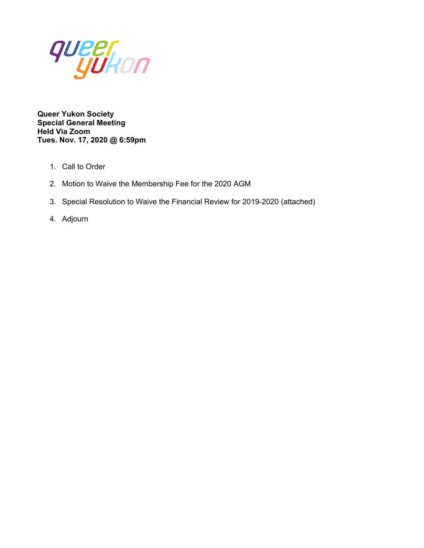

**Queer Yukon Society Special General Meeting Held Via Zoom Tues. Nov. 17, 2020 @ 6:59pm**

- 1. Call to Order
- 2. Motion to Waive the Membership Fee for the 2020 AGM
- 3. Special Resolution to Waive the Financial Review for 2019-2020 (attached)
- 4. Adjourn